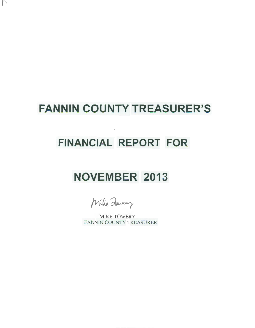## **FANNIN COUNTY TREASURER'S**

 $\mathbf{f}$ 

## **FINANCIAL REPORT FOR**

## **NOVEMBER 2013**

Mile Jewey

MIKE TOWERY FANNIN COUNTY TREASURER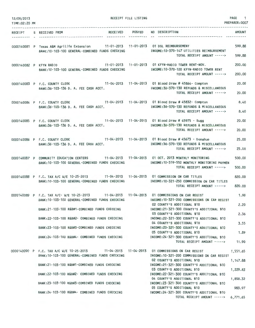| 12/09/2013<br>TIME: 02:20 PM |                                                                                                                                                                                                   | RECEIPT FILE LISTING        |                                                                                                                                     | PAGE 1<br>PREPARER: 0007 |
|------------------------------|---------------------------------------------------------------------------------------------------------------------------------------------------------------------------------------------------|-----------------------------|-------------------------------------------------------------------------------------------------------------------------------------|--------------------------|
|                              |                                                                                                                                                                                                   |                             |                                                                                                                                     |                          |
|                              | <b>RECEIVED</b><br>RECEIPT S RECEIVED FROM                                                                                                                                                        | <b>POSTED</b><br>---------- | NO DESCRIPTION                                                                                                                      | AMOUNT                   |
|                              | 0000140081 P Texas A&M Agrilife Extension 11-01-2013 11-01-2013 01 DSL REIMBURSEMENT<br>BANK: 10-103-100 GENERAL-COMBINED FUNDS CHECKING                                                          |                             | INCOME: 10-370-147 UTILITIES REIMBURSEMENT<br>TOTAL RECEIPT AMOUNT ----->                                                           | 599.88<br>599.88         |
|                              | 0000140082 P KFYN RADIO<br>BANK: 10-103-100 GENERAL-COMBINED FUNDS CHECKING                                                                                                                       |                             | 11-01-2013  11-01-2013  01 KFYN-RADIO TOWER RENT-NOV.<br>INCOME: 10-370-100 KFYN-RADIO TOWER RENT<br>TOTAL RECEIPT AMOUNT ----->    | 200,00<br>200.00         |
|                              | 0000140083 P F.C. COUNTY CLERK<br>BANK:36-103-136 D. A. FEE CASH ACCT.                                                                                                                            |                             | 11-04-2013  11-04-2013  01 Blood Draw # 45864- Compton<br>INCOME: 36-370-130 REFUNDS & MISCELLANEOUS<br>TOTAL RECEIPT AMOUNT -----> | 20,00<br>20.00           |
|                              | 0000140084 P F.C. COUNTY CLERK 11-04-2013 11-04-2013 01 Blood Draw # 45832- Compton<br>BANK: 36-103-136 D. A. FEE CASH ACCT.                                                                      |                             | INCOME: 36-370-130 REFUNDS & MISCELLANEOUS<br>TOTAL RECEIPT AMOUNT ----->                                                           | 8.40<br>8.40             |
|                              | 0000140085 P F.C. COUNTY CLERK 11-04-2013 11-04-2013 01 Blood Draw # 45975 - Sugg<br>BANK:36-103-136 D. A. FEE CASH ACCT.                                                                         |                             | INCOME: 36-370-130 REFUNDS & MISCELLANEOUS<br>TOTAL RECEIPT AMOUNT ----->                                                           | 20.00<br>20.00           |
|                              | 0000140086 P F.C. COUNTY CLERK 11-04-2013 11-04-2013 01 Blood Draw # 45673 - Donahue<br>BANK:36-103-136 D. A. FEE CASH ACCT.                                                                      |                             | INCOME: 36-370-130 REFUNDS & MISCELLANEOUS<br>TOTAL RECEIPT AMOUNT ----->                                                           | 25.00<br>25.00           |
|                              | 0000140087 P COMMUNITY EDUCATION CENTERS<br>BANK: 10-103-100 GENERAL-COMBINED FUNDS CHECKING                                                                                                      |                             | INCOME: 10-319-552 MONTHLY MONITORING PAYMEN<br>TOTAL RECEIPT AMOUNT ----->                                                         | 500.00<br>500.00         |
|                              | 0000140088 P F.C. TAX A/C W/E 10-25-2013 11-04-2013 11-04-2013 01 COMMISSION ON CAR TITLES<br>BANK: 10-103-100 GENERAL-COMBINED FUNDS CHECKING                                                    |                             | INCOME: 10-321-250 COMMISSION ON CAR TITLES<br>TOTAL RECEIPT AMOUNT ----->                                                          | 820,00<br>820,00         |
|                              | 0000140089 P F.C. TAX A/C- W/E 10-25-2013 11-04-2013 11-04-2013 01 COMMISSIONS ON CAR REGIST<br>BANK: 10-103-100 GENERAL-COMBINED FUNDS CHECKING<br>BANK:21-103-100 R&B#1-COMBINED FUNDS CHECKING |                             | INCOME: 10-321-200 COMMISSIONS ON CAR REGIST<br>02 COUNTY'S ADDITIONAL \$10<br>INCOME: 21-321-300 COUNTY'S ADDITIONAL \$10          | 1.90<br>2.20             |
|                              | BANK:22-103-100 R&B#2- COMBINED FUNDS CHECKING                                                                                                                                                    |                             | 03 COUNTY'S ADDITIONAL \$10<br>INCOME:22-321-300 COUNTY'S ADDITIONAL \$10<br>04 COUNTY'S ADDITIONAL \$10                            | 2.36<br>3.55             |
|                              | BANK:23-103-100 R&B#3-COMBINED FUNDS CHECKING                                                                                                                                                     |                             | INCOME: 23-321-300 COUNTY'S ADDITIONAL \$10<br>05 COUNTY'S ADDITIONAL \$10                                                          | 1.89                     |
|                              | BANK:24-103-100 R&B#4- COMBINED FUNDS CHECKING                                                                                                                                                    |                             | INCOME: 24-321-300 COUNTY'S ADDITIONAL \$10<br>TOTAL RECEIPT AMOUNT ----->                                                          | 11.90                    |
|                              | 0000140090 P F.C. TAX A/C W/E 10-25-2013 11-04-2013 11-04-2013 01 COMMISSIONS ON CAR REGIST<br>BANK:10-103-100 GENERAL-COMBINED FUNDS CHECKING                                                    |                             | INCOME: 10-321-200 COMMISSIONS ON CAR REGIST<br>02 COUNTY'S ADDITIONAL \$10                                                         | 1,551.65<br>1,147.88     |
|                              | BANK:21-103-100 R&B#1-COMBINED FUNDS CHECKING                                                                                                                                                     |                             | INCOME: 21-321-300 COUNTY'S ADDITIONAL \$10<br>03 COUNTY'S ADDITIONAL \$10                                                          | 1,229.83                 |
|                              | BANK:22-103-100 R&B#2- COMBINED FUNDS CHECKING<br>BANK:23-103-100 R&B#3-COMBINED FUNDS CHECKING                                                                                                   |                             | INCOME: 22-321-300 COUNTY'S ADDITIONAL \$10<br>04 COUNTY'S ADDITIONAL \$10<br>INCOME:23-321-300 COUNTY'S ADDITIONAL \$10            | 1,858.32                 |
|                              | BANK:24-103-100 R&B#4- COMBINED FUNDS CHECKING                                                                                                                                                    |                             | 05 COUNTY'S ADDITIONAL \$10<br>INCOME: 24-321-300 COUNTY'S ADDITIONAL \$10<br>TOTAL RECEIPT AMOUNT ----->                           | 983.97<br>6,771.65       |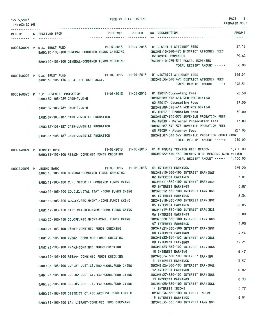| 12/09/2013<br>TIME: 02:20 PM     |                                                                                                               | RECEIPT FILE LISTING |                                                                                                                                                       | $\overline{2}$<br>PAGE<br>PREPARER: 0007 |
|----------------------------------|---------------------------------------------------------------------------------------------------------------|----------------------|-------------------------------------------------------------------------------------------------------------------------------------------------------|------------------------------------------|
| .<br><b>RECEIPT</b><br>--------- | S RECEIVED FROM                                                                                               |                      | RECEIVED POSTED NO DESCRIPTION                                                                                                                        | <b>AMOUNT</b>                            |
|                                  | 0000140091 P D.A. TRUST FUND<br>BANK: 10-103-100 GENERAL-COMBINED FUNDS CHECKING                              |                      | 11-04-2013  11-04-2013  01 DISTRICT ATTORNEY FEES<br>INCOME:10-340-475 DISTRICT ATTORNEY FEES<br><b>02 POSTAL EXPENSES</b>                            | 27.18<br>29.62                           |
|                                  | BANK: 10-103-100 GENERAL-COMBINED FUNDS CHECKING                                                              |                      | INCOME: 10-475-311 POSTAL EXPENSES<br>TOTAL RECEIPT AMOUNT ----->                                                                                     | 56.80                                    |
|                                  | 0000140092 P D.A. TRUST FUND<br>BANK: 36-103-136 D. A. FEE CASH ACCT.                                         |                      | 11-04-2013  11-04-2013  01 DISTRICT ATTORNEY FEES<br>INCOME: 36-340-475 DISTRICT ATTORNEY FEES<br>TOTAL RECEIPT AMOUNT ----->                         | 246.51<br>246.51                         |
|                                  | 0000140093 P F.C. JUVENILE PROBATION<br>BANK: 89-103-489 CASH-TJJD-N                                          |                      | 11-05-2013  11-05-2013  01 #2017-Counseling Fees<br>INCOME: 89-578-414 NON-RESIDENTIAL<br>02 #2017- Counseling Fees                                   | 92.50<br>37,50                           |
|                                  | BANK:89-103-489 CASH-TJJD-N                                                                                   |                      | INCOME: 89-578-414 NON-RESIDENTIAL<br>03 #2017 - Probation Fees                                                                                       | 30.00                                    |
|                                  | BANK: 87-103-187 CASH-JUVENILE PROBATION                                                                      |                      | INCOME: 87-340-575 JUVENILE PROBATION FEES<br>04 #2039 - Deferred Prosecution Fees                                                                    | 13.00                                    |
|                                  | BANK:87-103-187 CASH-JUVENILE PROBATION                                                                       |                      | INCOME:87-340-575 JUVENILE PROBATION FEES<br>05 #2039 - Attorney Fees                                                                                 | 237.00                                   |
|                                  | BANK: 87-103-187 CASH-JUVENILE PROBATION                                                                      |                      | INCOME:87-340-577 JUVENILE PROBATION COURT COSTS<br>TOTAL RECEIPT AMOUNT ----->                                                                       | 410.00                                   |
|                                  | 0000140094 P KENNETH BROZ<br>BANK:22-103-100 R&B#2- COMBINED FUNDS CHECKING                                   |                      | 11-05-2013  11-05-2013  01 # 109542 TRENTON HIGH MEADOW<br>INCOME:22-370-150 TRENTON HIGH MEADOWS SUBDIVISION<br>TOTAL RECEIPT AMOUNT -----> 1,400.00 | 1,400.00                                 |
|                                  | 0000140095 P LEGEND BANK<br>BANK:10-103-100 GENERAL-COMBINED FUNDS CHECKING                                   |                      | 11-05-2013  11-05-2013  01 INTEREST EARNINGS<br>INCOME: 10-360-100 INTEREST EARNINGS                                                                  | 265.20                                   |
|                                  | BANK: 11-103-100 C.H. SECURITY-COMBINED FUNDS CKING                                                           |                      | <b>02 INTEREST EARNINGS</b><br>INCOME: 11-360-100 INTEREST EARNINGS                                                                                   | 7.01                                     |
|                                  | BANK: 12-103-100 CO.CLK.VITAL STAT. - COMB. FUNDS CKING                                                       |                      | 03 INTEREST EARNINGS<br>INCOME: 12-360-100 INTEREST EARNINGS<br>04 INTEREST EARNINGS                                                                  | 0.87<br>6.34                             |
|                                  | BANK:18-103-100 CO.CLK.REC.MNGMT.-COMB.FUNDS CKING                                                            |                      | INCOME: 18-360-100 INTEREST EARNINGS<br>05 INTEREST EARNINGS                                                                                          | 0.83                                     |
|                                  | BANK:19-103-100 DIST.CLK.REC.MNGMT-COMB.FUNDS CKING                                                           |                      | INCOME: 19-360-100 INTEREST EARNINGS<br><b>06 INTEREST EARNINGS</b>                                                                                   | 5.00                                     |
|                                  | BANK:20-103-100 CO.OFF.REC.MNGMT-COMB. FUNDS CKING                                                            |                      | INCOME: 20-360-100 INTEREST EARNINGS<br><b>07 INTEREST EARNINGS</b>                                                                                   | 4.90                                     |
|                                  | BANK:21-103-100 R&B#1-COMBINED FUNDS CHECKING                                                                 |                      | INCOME: 21-360-100 INTEREST EARNINGS<br><b>08 INTEREST EARNINGS</b>                                                                                   | 4.94                                     |
|                                  | BANK:22-103-100 R&B#2- COMBINED FUNDS CHECKING                                                                |                      | INCOME: 22-360-100 INTEREST EARNINGS<br>09 INTEREST EARNINGS                                                                                          | 15.21                                    |
|                                  | BANK:23-103-100 R&B#3-COMBINED FUNDS CHECKING                                                                 |                      | INCOME: 23-360-100 INTEREST EARNINGS<br>10 INTEREST EARNING                                                                                           | 6.47                                     |
|                                  | BANK: 24-103-100 R&B#4- COMBINED FUNDS CHECKING                                                               |                      | INCOME: 24-360-100 INTEREST EARNING<br>11 INTEREST EARNINGS                                                                                           | 3.57                                     |
|                                  | BANK:26-103-100 J.P.#1 JUST.CT.TECH-COMB.FUND CKING                                                           |                      | INCOME: 26-360-100 INTEREST EARNINGS<br><b>12 INTEREST EARNINGS</b>                                                                                   | 0.87                                     |
|                                  | BANK: 27-103-100 J.P.#2 JUST.CT. TECH-COMB. FUND CKING<br>BANK:28-103-100 J.P.#3 JUST.CT.TECH-COMB.FUND CKING |                      | INCOME: 27-360-100 INTEREST EARNINGS<br><b>13 INTEREST EARNINGS</b><br>INCOME: 28-360-100 INTEREST EARNINGS                                           | 0.33                                     |
|                                  | BANK: 34-103-100 DISTRICT CT.REC.ARCHIVE COMB. FUND C                                                         |                      | 14 INTEREST INCOME<br>INCOME: 34-360-100 INTEREST INCOME                                                                                              | 0.77                                     |
|                                  | BANK: 35-103-100 LAW LIBRARY-COMBINED FUND CHECKING                                                           |                      | <b>15 INTEREST EARNINGS</b><br>INCOME: 35-360-100 INTEREST EARNINGS                                                                                   | 6.04                                     |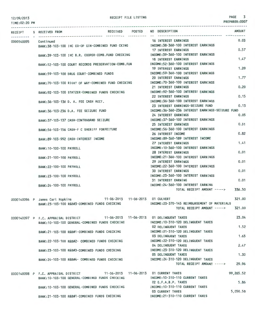TIME:02:20 PM

PREPARER:0007

|            |  | RECEIPT S RECEIVED FROM                          |                                                     |                                    | RECEIVED POSTED                  | NO DESCRIPTION                                                               | <b>AMOUNT</b> |
|------------|--|--------------------------------------------------|-----------------------------------------------------|------------------------------------|----------------------------------|------------------------------------------------------------------------------|---------------|
| 0000140095 |  | Continued                                        |                                                     |                                    |                                  | 16 INTEREST EARNINGS                                                         | 0.03          |
|            |  |                                                  | BANK:38-103-100 IHC CO-OP GIN-COMBINED FUND CKING   |                                    |                                  | INCOME: 38-360-100 INTEREST EARNINGS                                         |               |
|            |  |                                                  |                                                     |                                    |                                  | <b>17 INTEREST EARNINGS</b>                                                  | 0.57          |
|            |  |                                                  | BANK:39-103-100 IHC B.R. COOPER-COMB. FUND CHECKING |                                    |                                  | INCOME: 39-360-100 INTEREST EARNINGS                                         |               |
|            |  |                                                  |                                                     |                                    |                                  | <b>18 INTEREST EARNINGS</b>                                                  | 1.47          |
|            |  |                                                  | BANK:52-103-100 COURT RECORDS PRESERVATION-COMB.FUN |                                    |                                  | INCOME: 52-360-100 INTEREST EARNINGS                                         |               |
|            |  |                                                  |                                                     |                                    |                                  | <b>19 INTEREST EARNINGS</b>                                                  | 1,20          |
|            |  |                                                  | BANK:59-103-100 DRUG COURT-COMBINED FUNDS           |                                    |                                  | INCOME: 59-360-100 INTEREST EARNINGS                                         |               |
|            |  |                                                  |                                                     |                                    |                                  | 20 INTEREST EARNINGS                                                         | 1.77          |
|            |  |                                                  | BANK:70-103-100 RIGHT OF WAY-COMBINED FUND CHECKING |                                    |                                  | INCOME: 70-360-100 INTEREST EARNINGS                                         |               |
|            |  |                                                  |                                                     |                                    |                                  | 21 INTEREST EARNINGS                                                         | 0.20          |
|            |  |                                                  | BANK:92-103-100 STATZER-COMBINED FUNDS CHECKING     |                                    |                                  | INCOME: 92-360-100 INTEREST EARNINGS                                         |               |
|            |  |                                                  |                                                     |                                    |                                  | 22 INTEREST EARNINGS                                                         | 0.15          |
|            |  |                                                  | BANK: 36-103-136 D. A. FEE CASH ACCT.               |                                    |                                  | INCOME: 36-360-100 INTEREST EARNINGS                                         |               |
|            |  |                                                  |                                                     |                                    |                                  | 23 INTEREST EARNINGS-SEIZURE FUND                                            | 0.13          |
|            |  |                                                  | BANK: 36-103-236 D.A. FEE SEIZURE FUND              |                                    |                                  | INCOME: 36-360-236 INTEREST EARNINGS-SEIZURE FUND                            |               |
|            |  |                                                  |                                                     |                                    |                                  | <b>24 INTEREST EARNINGS</b>                                                  | 0.05          |
|            |  |                                                  | BANK: 37-103-137 CASH-CONTRABAND SEIZURE            |                                    |                                  | INCOME: 37-360-100 INTEREST EARNINGS                                         |               |
|            |  |                                                  |                                                     |                                    |                                  | 25 INTEREST EARNINGS                                                         | 0.31          |
|            |  |                                                  | BANK: 56-103-156 CASH-F C SHERIFF FORFEITURE        |                                    |                                  | INCOME: 56-360-100 INTEREST EARNINGS                                         | 0.82          |
|            |  |                                                  |                                                     |                                    |                                  | 26 INTEREST INCOME                                                           |               |
|            |  |                                                  | BANK:89-103-992 CASH-INTEREST INCOME                |                                    |                                  | INCOME:89-360-189 INTEREST INCOME<br>27 INTEREST EARNINGS                    | 1.41          |
|            |  |                                                  |                                                     |                                    |                                  | INCOME: 10-360-100 INTEREST EARNINGS                                         |               |
|            |  | BANK: 10-100-100 PAYROLL                         |                                                     |                                    |                                  |                                                                              | 0.01          |
|            |  |                                                  |                                                     |                                    |                                  | <b>28 INTEREST EARNINGS</b><br>INCOME: 21-360-100 INTEREST EARNINGS          |               |
|            |  | BANK:21-100-100 PAYROLL                          |                                                     |                                    |                                  | 29 INTEREST EARNINGS                                                         | 0.01          |
|            |  |                                                  |                                                     |                                    |                                  | INCOME: 22-360-100 INTEREST EARNINGS                                         |               |
|            |  | BANK: 22-100-100 PAYROLL                         |                                                     |                                    |                                  | <b>30 INTEREST EARNINGS</b>                                                  | 0.01          |
|            |  |                                                  |                                                     |                                    |                                  | INCOME: 23-360-100 INTEREST EARNINGS                                         |               |
|            |  | BANK: 23-100-100 PAYROLL                         |                                                     |                                    |                                  | <b>31 INTEREST EARNING</b>                                                   | 0.01          |
|            |  | BANK: 24-100-100 PAYROLL                         |                                                     |                                    |                                  | INCOME: 24-360-100 INTEREST EARNING                                          |               |
|            |  |                                                  |                                                     |                                    |                                  | TOTAL RECEIPT AMOUNT ----->                                                  | 336.50        |
|            |  |                                                  |                                                     |                                    |                                  |                                                                              |               |
|            |  | 0000140096 P James Carl Hopkins                  |                                                     | 11-06-2013  11-06-2013  01 CULVERT |                                  |                                                                              | 321.00        |
|            |  |                                                  | BANK:23-103-100 R&B#3-COMBINED FUNDS CHECKING       |                                    |                                  | INCOME: 23-370-145 REIMBURSEMENT OF MATERIALS                                |               |
|            |  |                                                  |                                                     |                                    |                                  | TOTAL RECEIPT AMOUNT ----->                                                  | 321.00        |
|            |  |                                                  |                                                     |                                    |                                  |                                                                              |               |
|            |  | 0000140097 P F.C. APPRAISAL DISTRICT             |                                                     |                                    |                                  | 11-06-2013  11-06-2013  01 DELINQUENT TAXES                                  | 23.04         |
|            |  |                                                  | BANK: 10-103-100 GENERAL-COMBINED FUNDS CHECKING    |                                    |                                  | INCOME: 10-310-120 DELINQUENT TAXES                                          |               |
|            |  |                                                  |                                                     |                                    |                                  | 02 DELINQUENT TAXES                                                          | 1.52          |
|            |  |                                                  | RANK: 21-103-100 R&B#1-COMBINED FUNDS CHECKING      |                                    |                                  | INCOME: 21-310-120 DELINQUENT TAXES                                          |               |
|            |  |                                                  |                                                     |                                    |                                  | <b>03 DELINQUENT TAXES</b>                                                   | 1.63          |
|            |  |                                                  | BANK:22-103-100 R&B#2- COMBINED FUNDS CHECKING      |                                    |                                  | INCOME: 22-310-120 DELINQUENT TAXES                                          |               |
|            |  |                                                  |                                                     |                                    |                                  | 04 DELINQUENT TAXES                                                          | 2.47          |
|            |  |                                                  | BANK: 23-103-100 R&B#3-COMBINED FUNDS CHECKING      |                                    |                                  | INCOME: 23-310-120 DELINQUENT TAXES                                          |               |
|            |  |                                                  |                                                     |                                    |                                  | 05 DELINQUENT TAXES                                                          | 1.30          |
|            |  |                                                  | BANK: 24-103-100 R&B#4- COMBINED FUNDS CHECKING     |                                    |                                  | INCOME: 24-310-120 DELINQUENT TAXES                                          |               |
|            |  |                                                  |                                                     |                                    |                                  | TOTAL RECEIPT AMOUNT ----->                                                  | 29.96         |
|            |  |                                                  |                                                     |                                    |                                  |                                                                              |               |
|            |  | 0000140098 P F.C. APPRAISAL DISTRICT             |                                                     |                                    |                                  | 11-06-2013  11-06-2013  01 CURRENT TAXES<br>INCOME: 10-310-110 CURRENT TAXES | 99, 265.52    |
|            |  |                                                  | BANK: 10-103-100 GENERAL-COMBINED FUNDS CHECKING    |                                    |                                  | 02 G.F.A.B.P. TAXES                                                          | 5.86          |
|            |  | BANK: 10-103-100 GENERAL-COMBINED FUNDS CHECKING |                                                     |                                    | INCOME: 10-310-110 CURRENT TAXES |                                                                              |               |
|            |  |                                                  |                                                     |                                    |                                  | 03 CURRENT TAXES                                                             | 5,050.58      |
|            |  |                                                  | BANK:21-103-100 R&B#1-COMBINED FUNDS CHECKING       |                                    |                                  | INCOME: 21-310-110 CURRENT TAXES                                             |               |
|            |  |                                                  |                                                     |                                    |                                  |                                                                              |               |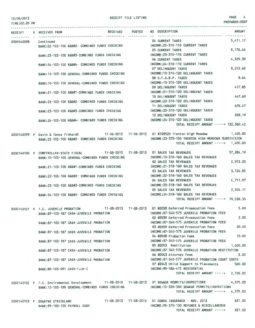TIME:02:20 PM

PREPARER:0007

|            | RECEIPT S RECEIVED FROM                                          |                                                  | RECEIVED POSTED | NO DESCRIPTION                                                                                    | AMOUNT    |
|------------|------------------------------------------------------------------|--------------------------------------------------|-----------------|---------------------------------------------------------------------------------------------------|-----------|
| 0000140098 | Continued                                                        |                                                  |                 | 04 CURRENT TAXES                                                                                  | 5,411.17  |
|            |                                                                  | BANK:22-103-100 R&B#2- COMBINED FUNDS CHECKING   |                 | INCOME: 22-310-110 CURRENT TAXES                                                                  |           |
|            |                                                                  |                                                  |                 | 05 CURRENT TAXES                                                                                  | 8,176.46  |
|            |                                                                  | BANK:23-103-100 R&B#3-COMBINED FUNDS CHECKING    |                 | INCOME: 23-310-110 CURRENT TAXES<br><b>06 CURRENT TAXES</b>                                       | 4,329.39  |
|            |                                                                  | BANK:24-103-100 R&B#4- COMBINED FUNDS CHECKING   |                 | INCOME: 24-310-110 CURRENT TAXES                                                                  |           |
|            |                                                                  |                                                  |                 | 07 DELINQUENT TAXES                                                                               | 8,212.60  |
|            |                                                                  | BANK: 10-103-100 GENERAL-COMBINED FUNDS CHECKING |                 | INCOME: 10-310-120 DELINQUENT TAXES                                                               |           |
|            |                                                                  |                                                  |                 | 08 G.F.A.B.P. TAXES                                                                               | 8.64      |
|            |                                                                  | BANK:10-103-100 GENERAL-COMBINED FUNDS CHECKING  |                 | INCOME: 10-310-120 DELINQUENT TAXES                                                               |           |
|            |                                                                  |                                                  |                 | 09 DELINQUENT TAXES                                                                               | 417.85    |
|            |                                                                  | BANK:21-103-100 R&B#1-COMBINED FUNDS CHECKING    |                 | INCOME: 21-310-120 DELINQUENT TAXES                                                               |           |
|            |                                                                  |                                                  |                 | 10 DELINQUENT TAXES                                                                               | 447.69    |
|            |                                                                  | BANK:22-103-100 R&B#2- COMBINED FUNDS CHECKING   |                 | INCOME: 22-310-120 DELINQUENT TAXES                                                               |           |
|            |                                                                  |                                                  |                 | 11 DELINQUENT TAXES                                                                               | 676.47    |
|            |                                                                  | BANK:23-103-100 R&B#3-COMBINED FUNDS CHECKING    |                 | INCOME: 23-310-120 DELINQUENT TAXES                                                               |           |
|            |                                                                  |                                                  |                 | 12 DELINQUENT TAXES                                                                               | 358.19    |
|            |                                                                  | BANK:24-103-100 R&B#4- COMBINED FUNDS CHECKING   |                 | INCOME: 24-310-120 DELINQUENT TAXES                                                               |           |
|            |                                                                  |                                                  |                 | TOTAL RECEIPT AMOUNT -----> 132,360.42                                                            |           |
|            |                                                                  |                                                  |                 |                                                                                                   |           |
|            |                                                                  |                                                  |                 | 0000140099 P Devin & Tanya Frohardt 11-06-2013 11-06-2013 01 #109520 Trenton High Meadow 1,400.00 |           |
|            |                                                                  | BANK:22-103-100 R&B#2- COMBINED FUNDS CHECKING   |                 | INCOME:22-370-150 TRENTON HIGH MEADOWS SUBDIVISION                                                |           |
|            |                                                                  |                                                  |                 | TOTAL RECEIPT AMOUNT -----> 1,400.00                                                              |           |
|            |                                                                  |                                                  |                 | 0000140100 P COMPTROLLER-STATE FISCAL 11-08-2013 11-08-2013 01 SALES TAX REVENUES                 | 57,284.19 |
|            |                                                                  | BANK: 10-103-100 GENERAL-COMBINED FUNDS CHECKING |                 | INCOME: 10-318-160 SALES TAX REVENUES                                                             |           |
|            |                                                                  |                                                  |                 | <b>02 SALES TAX REVENUES</b>                                                                      | 2,913.23  |
|            |                                                                  | BANK: 21-103-100 R&B#1-COMBINED FUNDS CHECKING   |                 | INCOME: 21-318-160 SALES TAX REVENUES                                                             |           |
|            |                                                                  |                                                  |                 | <b>03 SALES TAX REVENUES</b>                                                                      | 3, 124.85 |
|            |                                                                  | BANK:22-103-100 R&B#2- COMBINED FUNDS CHECKING   |                 | INCOME: 22-318-160 SALES TAX REVENUES                                                             |           |
|            |                                                                  |                                                  |                 | 04 SALES TAX REVENUES                                                                             | 4,711.97  |
|            |                                                                  | BANK:23-103-100 R&B#3-COMBINED FUNDS CHECKING    |                 | INCOME: 23-318-160 SALES TAX REVENUES                                                             |           |
|            |                                                                  |                                                  |                 | 05 SALES TAX REVENUES                                                                             | 2,504.11  |
|            |                                                                  | BANK:24-103-100 R&B#4- COMBINED FUNDS CHECKING   |                 | INCOME: 24-318-160 SALES TAX REVENUES                                                             |           |
|            |                                                                  |                                                  |                 | TOTAL RECEIPT AMOUNT -----> 70,538.35                                                             |           |
|            |                                                                  |                                                  |                 |                                                                                                   |           |
|            |                                                                  |                                                  |                 | 0000140101 P F.C. JUVENILE PROBATION 11-08-2013 11-08-2013 01 #2058 Deferred Prosecution Fees     | 5.00      |
|            |                                                                  | BANK:87-103-187 CASH-JUVENILE PROBATION          |                 | INCOME:87-340-575 JUVENILE PROBATION FEES                                                         |           |
|            |                                                                  |                                                  |                 | 02 #2039 Deferred Prosecution Fees                                                                | 2,00      |
|            |                                                                  | BANK:87-103-187 CASH-JUVENILE PROBATION          |                 | INCOME:87-340-575 JUVENILE PROBATION FEES                                                         |           |
|            |                                                                  |                                                  |                 | 03 #2059 Deferred Prosecution Fees<br>INCOME:87-340-575 JUVENILE PROBATION FEES                   | 20,00     |
|            |                                                                  | BANK:87-103-187 CASH-JUVENILE PROBATION          |                 | 04 #2028 Probation Fees                                                                           | 10,00     |
|            |                                                                  |                                                  |                 | INCOME:87-340-575 JUVENILE PROBATION FEES                                                         |           |
|            |                                                                  | BANK:87-103-187 CASH-JUVENILE PROBATION          |                 | 05 #2053 Restitution                                                                              | 1,500.00  |
|            |                                                                  | BANK:87-103-187 CASH-JUVENILE PROBATION          |                 | INCOME: 87-340-576 JUVENILE PROBATION RESTITUTION                                                 |           |
|            |                                                                  |                                                  |                 | 06 #2043 Attorney Fees                                                                            | 3.00      |
|            |                                                                  | BANK:87-103-187 CASH-JUVENILE PROBATION          |                 | INCOME:87-340-577 JUVENILE PROBATION COURT COSTS                                                  |           |
|            |                                                                  |                                                  |                 | 07 #2043 Child Support to Placements                                                              | 560.00    |
|            | BANK:89-103-991 CASH-TJJD-C                                      |                                                  |                 | INCOME:89-586-415 RESIDENTIAL                                                                     |           |
|            |                                                                  |                                                  |                 | TOTAL RECEIPT AMOUNT -----> 2,100.00                                                              |           |
|            |                                                                  |                                                  |                 |                                                                                                   |           |
|            | 0000140102 P F.C. Enviromental Development                       |                                                  |                 | 11-08-2013  11-08-2013  01 SEWAGE PERMITS/INSPECTIONS                                             | 4,575.03  |
|            |                                                                  | BANK: 10-103-100 GENERAL-COMBINED FUNDS CHECKING |                 | INCOME:10-320-300 SEWAGE PERMITS/INSPECTIONS                                                      |           |
|            |                                                                  |                                                  |                 | TOTAL RECEIPT AMOUNT ----->                                                                       | 4,575.03  |
|            |                                                                  |                                                  |                 | 11-08-2013  11-08-2013  01 COBRA INSURANCE - NOV. 2013                                            | 631.02    |
|            | 0000140103 P DEWAYNE STRICKLAND<br>BANK: 95-100-100 PAYROLL CASH |                                                  |                 | INCOME: 95-370-130 REFUNDS & MISCELLANEOUS                                                        |           |
|            |                                                                  |                                                  |                 | TOTAL RECEIPT AMOUNT ----->                                                                       | 631.02    |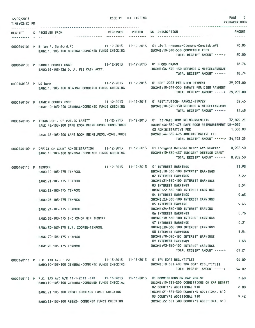| 12/09/2013<br>TIME: 02:20 PM |                                                                                                                                                                                                                  | RECEIPT FILE LISTING |                                                                                                                                               | PAGE<br>5<br>PREPARER: 0007 |
|------------------------------|------------------------------------------------------------------------------------------------------------------------------------------------------------------------------------------------------------------|----------------------|-----------------------------------------------------------------------------------------------------------------------------------------------|-----------------------------|
|                              |                                                                                                                                                                                                                  |                      |                                                                                                                                               |                             |
|                              | RECEIVED POSTED<br>RECEIPT S RECEIVED FROM                                                                                                                                                                       |                      | NO DESCRIPTION                                                                                                                                | <b>AMOUNT</b>               |
|                              | 0000140104 P Brian P. Sanford, PC 11-12-2013 11-12-2013 01 Civil Process-Clemons-Constable#2<br>BANK:10-103-100 GENERAL-COMBINED FUNDS CHECKING                                                                  |                      | INCOME:10-340-550 CONSTABLE FEES<br>TOTAL RECEIPT AMOUNT ----->                                                                               | 70.00<br>70,00              |
|                              | 0000140105 P FANNIN COUNTY CSCD 11-12-2013 11-12-2013 01 BLOOD DRAWS<br>BANK:36-103-136 D. A. FEE CASH ACCT.                                                                                                     |                      | INCOME: 36-370-130 REFUNDS & MISCELLANEOUS<br>TOTAL RECEIPT AMOUNT ----->                                                                     | 18.74<br>18.74              |
| 0000140106 P US bank         | BANK: 10-103-100 GENERAL-COMBINED FUNDS CHECKING                                                                                                                                                                 |                      | 11-12-2013  11-12-2013  01 SEPT.2013  PER DIEM PAYMENT<br>INCOME: 10-319-553 INMATE PER DIEM PAYMENT<br>TOTAL RECEIPT AMOUNT -----> 29,905.00 | 29,905.00                   |
|                              | 0000140107 P FANNIN COUNTY CSCD 11-12-2013 11-12-2013 01 RESTITUTION- ARNOLD-#19729<br>BANK: 10-103-100 GENERAL-COMBINED FUNDS CHECKING                                                                          |                      | INCOME: 10-370-130 REFUNDS & MISCELLANEOUS<br>TOTAL RECEIPT AMOUNT ----->                                                                     | 32.45<br>32.45              |
|                              | 0000140108 P TEXAS DEPT. OF PUBLIC SAFETY 11-12-2013 11-12-2013 01 13-SAFE ROOM REIMBURSEMENTS 32,892.25<br>BANK:46-103-100 SAFE ROOM REIMB.PROG.-COMB.FUNDS<br>BANK:46-103-100 SAFE ROOM REIMB.PROG.-COMB.FUNDS |                      | INCOME:46-330-475 SAFE ROOM REIMBURSEMENT DR-4029<br>02 ADMINISTRATIVE FEE<br>INCOME: 46-330-476 ADMINISTRATIVE FEE                           | 1,300,00                    |
|                              |                                                                                                                                                                                                                  |                      | TOTAL RECEIPT AMOUNT -----> 34,192.25                                                                                                         |                             |
|                              | 0000140109 P OFFICE OF COURT ADMINISTRATION 11-12-2013 11-12-2013 01 Indigent Defense Grant-4th Quarter<br>BANK: 10-103-100 GENERAL-COMBINED FUNDS CHECKING                                                      |                      | INCOME: 10-330-437 INDIGENT DEFENSE GRANT<br>TOTAL RECEIPT AMOUNT ----->                                                                      | 8,902.50<br>8,902.50        |
| 0000140110 P TEXPOOL         | BANK: 10-103-175 TEXPOOL                                                                                                                                                                                         |                      | 11-12-2013  11-12-2013  01 INTEREST EARNINGS<br>INCOME: 10-360-100 INTEREST EARNINGS                                                          | 21.93                       |
|                              | BANK: 21-103-175 TEXPOOL                                                                                                                                                                                         |                      | <b>02 INTEREST EARNINGS</b><br>INCOME: 21-360-100 INTEREST EARNINGS                                                                           | 3.22<br>8.54                |
|                              | BANK: 22-103-175 TEXPOOL                                                                                                                                                                                         |                      | 03 INTEREST EARNINGS<br>INCOME: 22-360-100 INTEREST EARNINGS<br>04 INTEREST EARNINGS                                                          | 9.63                        |
|                              | BANK: 23-103-175 TEXPOOL                                                                                                                                                                                         |                      | INCOME: 23-360-100 INTEREST EARNINGS<br>05 INTEREST EARNING                                                                                   | 9.63                        |
|                              | BANK: 24-103-175 TEXPOOL                                                                                                                                                                                         |                      | INCOME: 24-360-100 INTEREST EARNING<br>06 INTEREST EARNINGS                                                                                   | 0.76                        |
|                              | BANK: 38-103-175 IHC CO-OP GIN TEXPOOL                                                                                                                                                                           |                      | INCOME: 38-360-100 INTEREST EARNINGS<br><b>07 INTEREST EARNINGS</b>                                                                           | 0.31                        |
|                              | BANK: 39-103-175 B.R. COOPER-TEXPOOL                                                                                                                                                                             |                      | INCOME: 39-360-100 INTEREST EARNINGS<br><b>08 INTEREST EARNINGS</b>                                                                           | 5.54                        |
|                              | BANK: 70-103-175 TEXPOOL                                                                                                                                                                                         |                      | INCOME: 70-360-100 INTEREST EARNINGS<br>09 INTEREST EARNINGS                                                                                  | 1.68                        |
|                              | BANK: 92-103-175 TEXPOOL                                                                                                                                                                                         |                      | INCOME: 92-360-100 INTEREST EARNINGS<br>TOTAL RECEIPT AMOUNT ----->                                                                           | 61.24                       |
|                              | 0000140111 P F.C. TAX A/C - TPW<br>BANK:10-103-100 GENERAL-COMBINED FUNDS CHECKING                                                                                                                               |                      | 11-13-2013  11-13-2013  01 TPW BOAT REG./TITLES<br>INCOME:10-321-400 TPW BOAT REG./TITLES<br>TOTAL RECEIPT AMOUNT ----->                      | 94.09<br>94.09              |
|                              | 0000140112 P F.C. TAX A/C W/E 11-1-2013 - IRP 11-13-2013 11-13-2013 01 COMMISSIONS ON CAR REGIST                                                                                                                 |                      | INCOME: 10-321-200 COMMISSIONS ON CAR REGIST                                                                                                  | 7.60                        |
|                              | BANK: 10-103-100 GENERAL-COMBINED FUNDS CHECKING<br>BANK: 21-103-100 R&B#1-COMBINED FUNDS CHECKING                                                                                                               |                      | 02 COUNTY'S ADDITIONAL \$10<br>INCOME:21-321-300 COUNTY'S ADDITIONAL \$10                                                                     | 8.80                        |
|                              | BANK: 22-103-100 R&B#2- COMBINED FUNDS CHECKING                                                                                                                                                                  |                      | 03 COUNTY'S ADDITIONAL \$10<br>INCOME: 22-321-300 COUNTY'S ADDITIONAL \$10                                                                    | 9.42                        |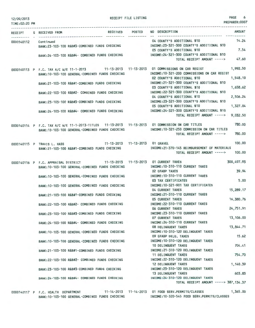| 12/09/2013<br>TIME:02:20 PM |                                                                                                                                                      | RECEIPT FILE LISTING |                                                                                                           | PAGE<br>PREPARER:0007 | 6             |
|-----------------------------|------------------------------------------------------------------------------------------------------------------------------------------------------|----------------------|-----------------------------------------------------------------------------------------------------------|-----------------------|---------------|
|                             | RECEIVED POSTED<br>RECEIPT S RECEIVED FROM                                                                                                           |                      | NO DESCRIPTION                                                                                            | <b>AMOUNT</b>         |               |
| 0000140112 Continued        | BANK:23-103-100 R&B#3-COMBINED FUNDS CHECKING                                                                                                        |                      | 04 COUNTY'S ADDITIONAL \$10<br>INCOME: 23-321-300 COUNTY'S ADDITIONAL \$10                                | 14.24                 |               |
|                             | BANK:24-103-100 R&B#4- COMBINED FUNDS CHECKING                                                                                                       |                      | 05 COUNTY'S ADDITIONAL \$10<br>INCOME: 24-321-300 COUNTY'S ADDITIONAL \$10<br>TOTAL RECEIPT AMOUNT -----> | 7.54<br>47.60         |               |
|                             | 0000140113 P F.C. TAX A/C W/E 11-1-2013 11-13-2013 11-13-2013 01 COMMISSIONS ON CAR REGIST<br>BANK: 10-103-100 GENERAL-COMBINED FUNDS CHECKING       |                      | INCOME: 10-321-200 COMMISSIONS ON CAR REGIST                                                              | 1,992.50              |               |
|                             | BANK:21-103-100 R&B#1-COMBINED FUNDS CHECKING                                                                                                        |                      | 02 COUNTY'S ADDITIONAL \$10<br>INCOME: 21-321-300 COUNTY'S ADDITIONAL \$10                                | 1,548.10              |               |
|                             | BANK:22-103-100 R&B#2- COMBINED FUNDS CHECKING                                                                                                       |                      | 03 COUNTY'S ADDITIONAL \$10<br>INCOME: 22-321-300 COUNTY'S ADDITIONAL \$10                                | 1,658.62              |               |
|                             | BANK:23-103-100 R&B#3-COMBINED FUNDS CHECKING                                                                                                        |                      | 04 COUNTY'S ADDITIONAL \$10<br>INCOME: 23-321-300 COUNTY'S ADDITIONAL \$10                                | 2,506.24              |               |
|                             | BANK:24-103-100 R&B#4- COMBINED FUNDS CHECKING                                                                                                       |                      | 05 COUNTY'S ADDITIONAL \$10<br>INCOME: 24-321-300 COUNTY'S ADDITIONAL \$10<br>TOTAL RECEIPT AMOUNT -----> | 1,327.04<br>9,032.50  |               |
|                             | 0000140114 P F.C. TAX A/C W/E 11-1-2013-TITLES 11-13-2013 11-13-2013 01 COMMISSION ON CAR TITLES<br>BANK: 10-103-100 GENERAL-COMBINED FUNDS CHECKING |                      | INCOME: 10-321-250 COMMISSION ON CAR TITLES                                                               | 780.00                |               |
|                             |                                                                                                                                                      |                      | TOTAL RECEIPT AMOUNT ----->                                                                               | 780,00                |               |
|                             | 11-13-2013 11-13-2013 01 GRAVEL<br>0000140115 P TRAVIS L. HASS<br>BANK:21-103-100 R&B#1-COMBINED FUNDS CHECKING                                      |                      | INCOME: 21-370-145 REIMBURSEMENT OF MATERIALS<br>TOTAL RECEIPT AMOUNT ----->                              | 100,00<br>100,00      |               |
|                             | 0000140116 P F.C. APPRAISAL DISTRICT 11-13-2013 11-13-2013 01 CURRENT TAXES<br>BANK: 10-103-100 GENERAL-COMBINED FUNDS CHECKING                      |                      | INCOME: 10-310-110 CURRENT TAXES                                                                          | 300,497.93            |               |
|                             | BANK: 10-103-100 GENERAL-COMBINED FUNDS CHECKING                                                                                                     |                      | 02 GFABP TAXES<br>INCOME: 10-310-110 CURRENT TAXES                                                        |                       | 39.94<br>5.00 |
|                             | BANK: 10-103-100 GENERAL-COMBINED FUNDS CHECKING                                                                                                     |                      | 03 TAX CERTIFICATES<br>INCOME: 10-321-901 TAX CERTIFICATES<br>04 CURRENT TAXES                            | 15,289.17             |               |
|                             | BANK:21-103-100 R&B#1-COMBINED FUNDS CHECKING                                                                                                        |                      | INCOME:21-310-110 CURRENT TAXES<br>05 CURRENT TAXES                                                       | 16,380.76             |               |
|                             | BANK:22-103-100 R&B#2- COMBINED FUNDS CHECKING                                                                                                       |                      | INCOME:22-310-110 CURRENT TAXES<br><b>06 CURRENT TAXES</b>                                                | 24,751.91             |               |
|                             | BANK:23-103-100 R&B#3-COMBINED FUNDS CHECKING                                                                                                        |                      | INCOME: 23-310-110 CURRENT TAXES<br>07 CURRENT TAXES                                                      | 13,106.00             |               |
|                             | BANK:24-103-100 R&B#4- COMBINED FUNDS CHECKING                                                                                                       |                      | INCOME: 24-310-110 CURRENT TAXES<br>08 DELINQUENT TAXES                                                   | 13,844.71             |               |
|                             | BANK: 10-103-100 GENERAL-COMBINED FUNDS CHECKING                                                                                                     |                      | INCOME: 10-310-120 DELINQUENT TAXES<br>09 GFABP DELQ, TAXES                                               |                       | 15.62         |
|                             | BANK: 10-103-100 GENERAL-COMBINED FUNDS CHECKING                                                                                                     |                      | INCOME: 10-310-120 DELINQUENT TAXES<br>10 DELINQUENT TAXES                                                |                       | 704.41        |
|                             | BANK:21-103-100 R&B#1-COMBINED FUNDS CHECKING                                                                                                        |                      | INCOME: 21-310-120 DELINQUENT TAXES<br>11 DELINQUENT TAXES                                                |                       | 754.70        |
|                             | BANK:22-103-100 R&B#2- COMBINED FUNDS CHECKING                                                                                                       |                      | INCOME: 22-310-120 DELINQUENT TAXES<br>12 DELINQUENT TAXES                                                | 1,140.39              |               |
|                             | BANK:23-103-100 R&B#3-COMBINED FUNDS CHECKING                                                                                                        |                      | INCOME: 23-310-120 DELINQUENT TAXES<br>13 DELINQUENT TAXES                                                |                       | 603.83        |
|                             | BANK: 24-103-100 R&B#4- COMBINED FUNDS CHECKING                                                                                                      |                      | INCOME: 24-310-120 DELINQUENT TAXES<br>TOTAL RECEIPT AMOUNT -----> 387,134.37                             |                       |               |

0000140117 P F.C. HEALTH DEPARTMENT 11-14-2013 11-14-2013 01 FOOD SERV.PERMITS/CLASSES 1,365.00 BANK:10-103-100 GENERAL-COMBINED FUNDS CHECKING INCOME:10-320-545 FOOD SERV.PERMITS/CLASSES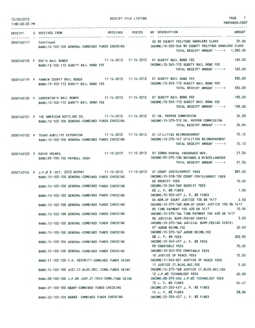| 12/09/2013<br>TIME: 02:20 PM |                                                                                                                                             |                                           | RECEIPT FILE LISTING | PAGE<br>7<br>PREPARER: 0007                                                                                                                                                                 |
|------------------------------|---------------------------------------------------------------------------------------------------------------------------------------------|-------------------------------------------|----------------------|---------------------------------------------------------------------------------------------------------------------------------------------------------------------------------------------|
|                              | RECEIPT S RECEIVED FROM                                                                                                                     | RECEIVED POSTED<br>----------- ---------- |                      | <b>AMOUNT</b><br>NO DESCRIPTION                                                                                                                                                             |
| ---------- -<br>0000140117   | Continued                                                                                                                                   |                                           |                      | 02 \$5 COUNTY FEE/FOOD HANDLERS CLASS 25.00<br>BANK:10-103-100 GENERAL-COMBINED FUNDS CHECKING INCOME:10-320-546 \$5 COUNTY FEE/FOOD HANDLERS CLASS<br>TOTAL RECEIPT AMOUNT -----> 1,390.00 |
|                              | 0000140118 P DOC'S BAIL BONDS 11-14-2013 11-14-2013 01 SURETY BAIL BOND FEE<br>BANK: 13-103-113 SURETY BAIL BOND FEE                        |                                           |                      | 165,00<br>INCOME: 13-345-113 SURETY BAIL BOND FEE<br>165.00<br>TOTAL RECEIPT AMOUNT ----->                                                                                                  |
|                              | 0000140119 P FANNIN COUNTY BAIL BONDS 11-14-2013 11-14-2013 01 SURETY BAIL BOND FEE<br>BANK: 13-103-113 SURETY BAIL BOND FEE                |                                           |                      | 330.00<br>INCOME: 13-345-113 SURETY BAIL BOND FEE<br>330.00<br>TOTAL RECEIPT AMOUNT ----->                                                                                                  |
|                              | 0000140120 P CARPENTER'S BAIL BONDS 11-14-2013 11-14-2013 01 SURETY BAIL BOND FEE<br>BANK: 13-103-113 SURETY BAIL BOND FEE                  |                                           |                      | 195.00<br>INCOME: 13-345-113 SURETY BAIL BOND FEE<br>195.00<br>TOTAL RECEIPT AMOUNT ----->                                                                                                  |
|                              | 0000140121 P THE AMERICAN BOTTLING CO. 11-14-2013 11-14-2013 01 DR. PEPPER COMMISSION<br>BANK:10-103-100 GENERAL-COMBINED FUNDS CHECKING    |                                           |                      | 24.00<br>INCOME: 10-370-510 DR. PEPPER COMMISSION<br>24,00<br>TOTAL RECEIPT AMOUNT ----->                                                                                                   |
|                              | 0000140122 P TEXAS AGRILIFE EXTENSION 11-14-2013 11-14-2013 01 UTILITIES REIMBURSEMENT<br>BANK: 10-103-100 GENERAL-COMBINED FUNDS CHECKING  |                                           |                      | 72.12<br>INCOME:10-370-147 UTILITIES REIMBURSEMENT<br>72.12<br>TOTAL RECEIPT AMOUNT ----->                                                                                                  |
|                              | 0000140123 P DAVID HOLMES<br>BANK: 95-100-100 PAYROLL CASH                                                                                  |                                           |                      | 21.56<br>11-15-2013  11-15-2013  01 COBRA DENTAL INSURANCE-NOV.<br>INCOME: 95-370-130 REFUNDS & MISCELLANEOUS<br>21.56<br>TOTAL RECEIPT AMOUNT ----->                                       |
|                              | 0000140124 P J.P.# 3 -OCT. 2013 REPORT 11-15-2013 11-15-2013 01 COURT COSTS/ARREST FEES<br>BANK: 10-103-100 GENERAL-COMBINED FUNDS CHECKING |                                           |                      | 381.00<br>INCOME: 10-318-130 COURT COSTS/ARREST FEES<br>10,00<br><b>02 SHERIFF FEES</b>                                                                                                     |
|                              | BANK: 10-103-100 GENERAL-COMBINED FUNDS CHECKING                                                                                            |                                           |                      | INCOME: 10-340-560 SHERIFF FEES<br>1.90<br>03 J. P. #3 FINES                                                                                                                                |
|                              | BANK: 10-103-100 GENERAL-COMBINED FUNDS CHECKING                                                                                            |                                           |                      | INCOME: 10-350-457 J. P. #3 FINES<br>2.50<br>04 ADM.OF COURT JUSTICE 10% SB 1417                                                                                                            |
|                              | BANK:10-103-100 GENERAL-COMBINED FUNDS CHECKING                                                                                             |                                           |                      | INCOME:10-370-163 ADM.OF COURT JUSTICE 10% SB 1417<br>10.00<br>05 TIME PAYMENT FEE 40% SB 1417                                                                                              |
|                              | BANK: 10-103-100 GENERAL-COMBINED FUNDS CHECKING                                                                                            |                                           |                      | INCOME: 10-370-164 TIME PAYMENT FEE 40% SB 1417<br>3.00<br>06 JUDICIAL SUPP.FEE(60 CENTS)                                                                                                   |
|                              | BANK: 10-103-100 GENERAL-COMBINED FUNDS CHECKING                                                                                            |                                           |                      | INCOME: 10-370-166 JUDICIAL SUPP.FEE(60 CENTS)<br>20,00<br>07 JUROR REIMB.FEE                                                                                                               |
|                              | BANK:10-103-100 GENERAL-COMBINED FUNDS CHECKING<br>BANK: 10-103-100 GENERAL-COMBINED FUNDS CHECKING                                         |                                           |                      | INCOME: 10-370-167 JUROR REIMB.FEE<br>292.90<br>08 J. P. #3 FEES<br>INCOME: 10-340-457 J. P. #3 FEES                                                                                        |
|                              | BANK: 10-103-100 GENERAL-COMBINED FUNDS CHECKING                                                                                            |                                           |                      | 70.00<br>09 CONSTABLE FEES<br>INCOME:10-340-550 CONSTABLE FEES                                                                                                                              |
|                              | BANK: 11-103-100 C.H. SECURITY-COMBINED FUNDS CKING                                                                                         |                                           |                      | 15.00<br>10 JUSTICE OF PEACE FEES<br>INCOME:11-340-651 JUSTICE OF PEACE FEES                                                                                                                |
|                              | BANK: 14-103-100 JUST.CT.BLDG.SEC.-COMB.FUNDS CKING                                                                                         |                                           |                      | 5.00<br>11 JUSTICE CT.BLDG.SEC.FEE<br>INCOME: 14-370-168 JUSTICE CT.BLDG.SEC.FEE                                                                                                            |
|                              | BANK: 28-103-100 J.P.#3 JUST.CT. TECH-COMB. FUND CKING                                                                                      |                                           |                      | 20,00<br>12 J.P.#3 TECHNOLOGY FEES<br>INCOME: 28-370-456 J.P.#3 TECHNOLOGY FEES                                                                                                             |
|                              | BANK:21-103-100 R&B#1-COMBINED FUNDS CHECKING                                                                                               |                                           |                      | 54.47<br>13 J. P. #3 FINES<br>INCOME:21-350-457 J. P. #3 FINES                                                                                                                              |
|                              | BANK:22-103-100 R&B#2- COMBINED FUNDS CHECKING                                                                                              |                                           |                      | 58.36<br>14 J. P. #3 FINES<br>INCOME: 22-350-457 J. P. #3 FINES                                                                                                                             |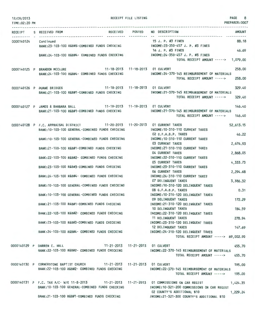| 12/09/2013<br>TIME: 02:20 PM |                                                                                                                                                | RECEIPT FILE LISTING |                                                                                                     | <b>PAGE</b><br>8<br>PREPARER: 0007 |
|------------------------------|------------------------------------------------------------------------------------------------------------------------------------------------|----------------------|-----------------------------------------------------------------------------------------------------|------------------------------------|
| <b>RECEIPT</b>               | S RECEIVED FROM                                                                                                                                | RECEIVED POSTED      | NO DESCRIPTION                                                                                      | <b>AMOUNT</b>                      |
| 0000140124                   | Cont i nued<br>BANK: 23-103-100 R&B#3-COMBINED FUNDS CHECKING                                                                                  |                      | 15 J. P. #3 FINES<br>INCOME: 23-350-457 J. P. #3 FINES<br>16 J. P. #3 FINES                         | 88.18<br>46.69                     |
|                              | BANK:24-103-100 R&B#4- COMBINED FUNDS CHECKING                                                                                                 |                      | INCOME: 24-350-457 J. P. #3 FINES<br>TOTAL RECEIPT AMOUNT -----> 1,079.00                           |                                    |
|                              | 0000140125 P BRANDON MCCLURE 11-18-2013 11-18-2013 01 CULVERT<br>BANK:24-103-100 R&B#4- COMBINED FUNDS CHECKING                                |                      | INCOME: 24-370-145 REIMBURSEMENT OF MATERIALS<br>TOTAL RECEIPT AMOUNT ----->                        | 258.00<br>258.00                   |
|                              | 0000140126 P DUANE BRIDGES 11-18-2013 11-18-2013 01 CULVERT<br>BANK:21-103-100 R&B#1-COMBINED FUNDS CHECKING                                   | <b>The control</b>   | INCOME: 21-370-145 REIMBURSEMENT OF MATERIALS<br>TOTAL RECEIPT AMOUNT ----->                        | 329.40<br>329.40                   |
|                              | 11-19-2013  11-19-2013  01 CULVERT<br>0000140127 P JAMES & BARBARA BALL<br>BANK:21-103-100 R&B#1-COMBINED FUNDS CHECKING                       |                      | INCOME: 21-370-145 REIMBURSEMENT OF MATERIALS<br>TOTAL RECEIPT AMOUNT -----> 146.40                 | 146.40                             |
|                              | 0000140128 P F.C. APPRAISAL DISTRICT 11-20-2013 11-20-2013 01 CURRENT TAXES<br>BANK: 10-103-100 GENERAL-COMBINED FUNDS CHECKING                |                      | INCOME: 10-310-110 CURRENT TAXES<br>02 G.F.A.B.P. TAXES                                             | 52,613.15<br>46.22                 |
|                              | BANK: 10-103-100 GENERAL-COMBINED FUNDS CHECKING                                                                                               |                      | INCOME: 10-310-110 CURRENT TAXES<br><b>03 CURRENT TAXES</b>                                         | 2,676.93                           |
|                              | BANK:21-103-100 R&B#1-COMBINED FUNDS CHECKING                                                                                                  |                      | INCOME: 21-310-110 CURRENT TAXES<br>04 CURRENT TAXES                                                | 2,868.05                           |
|                              | BANK: 22-103-100 R&B#2- COMBINED FUNDS CHECKING<br>BANK:23-103-100 R&B#3-COMBINED FUNDS CHECKING                                               |                      | INCOME: 22-310-110 CURRENT TAXES<br>05 CURRENT TAXES<br>INCOME: 23-310-110 CURRENT TAXES            | 4,333.73                           |
|                              | BANK:24-103-100 R&B#4- COMBINED FUNDS CHECKING                                                                                                 |                      | <b>06 CURRENT TAXES</b><br>INCOME: 24-310-110 CURRENT TAXES                                         | 2,294.68                           |
|                              | BANK:10-103-100 GENERAL-COMBINED FUNDS CHECKING                                                                                                |                      | 07 DELINQUENT TAXES<br>INCOME: 10-310-120 DELINQUENT TAXES<br>08 G.F.A.B.P. TAXES                   | 3,386.32<br>0.31                   |
|                              | BANK: 10-103-100 GENERAL-COMBINED FUNDS CHECKING                                                                                               |                      | INCOME: 10-310-120 DELINQUENT TAXES<br>09 DELINQUENT TAXES                                          | 172.29                             |
|                              | BANK:21-103-100 R&B#1-COMBINED FUNDS CHECKING<br>BANK:22-103-100 R&B#2- COMBINED FUNDS CHECKING                                                |                      | INCOME: 21-310-120 DELINQUENT TAXES<br>10 DELINQUENT TAXES<br>INCOME: 22-310-120 DELINQUENT TAXES   | 184.59                             |
|                              | BANK:23-103-100 R&B#3-COMBINED FUNDS CHECKING                                                                                                  |                      | 11 DELINQUENT TAXES<br>INCOME: 23-310-120 DELINQUENT TAXES                                          | 278.94                             |
|                              | BANK:24-103-100 R&B#4- COMBINED FUNDS CHECKING                                                                                                 |                      | 12 DELINQUENT TAXES<br>INCOME: 24-310-120 DELINQUENT TAXES<br>TOTAL RECEIPT AMOUNT -----> 69,002.90 | 147.69                             |
|                              | 11-21-2013  11-21-2013  01 CULVERT<br>0000140129 P DARREN C. HALL<br>BANK: 22-103-100 R&B#2- COMBINED FUNDS CHECKING                           |                      | INCOME:22-370-145 REIMBURSEMENT OF MATERIALS<br>TOTAL RECEIPT AMOUNT ----->                         | 455.70<br>455.70                   |
|                              | 0000140130 P CORNERSTONE BAPTIST CHURCH 11-21-2013 11-21-2013 01 CULVERT<br>BANK:22-103-100 R&B#2- COMBINED FUNDS CHECKING                     |                      | INCOME: 22-370-145 REIMBURSEMENT OF MATERIALS<br>TOTAL RECEIPT AMOUNT -----> 195.00                 | 195.00                             |
|                              | 0000140131 P F.C. TAX A/C-W/E 11-8-2013 11-21-2013 11-21-2013 01 COMMISSIONS ON CAR REGIST<br>BANK: 10-103-100 GENERAL-COMBINED FUNDS CHECKING |                      | INCOME:10-321-200 COMMISSIONS ON CAR REGIST                                                         | 1,424.35                           |
|                              | BANK:21-103-100 R&B#1-COMBINED FUNDS CHECKING                                                                                                  |                      | 02 COUNTY'S ADDITIONAL \$10<br>INCOME:21-321-300 COUNTY'S ADDITIONAL \$10                           | 1,229.24                           |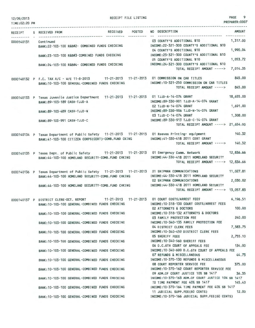| 12/09/2013<br>TIME:02:20 PM | RECEIPT FILE LISTING                                                                                                                                        |                                                                                                                                          | PAGE 9<br>PREPARER: 0007 |
|-----------------------------|-------------------------------------------------------------------------------------------------------------------------------------------------------------|------------------------------------------------------------------------------------------------------------------------------------------|--------------------------|
| .                           | RECEIVED POSTED<br>RECEIPT S RECEIVED FROM                                                                                                                  | NO DESCRIPTION                                                                                                                           | AMOUNT                   |
| 0000140131 Continued        | BANK:22-103-100 R&B#2- COMBINED FUNDS CHECKING                                                                                                              | 03 COUNTY'S ADDITIONAL \$10 1,317.00<br>INCOME: 22-321-300 COUNTY'S ADDITIONAL \$10<br>04 COUNTY'S ADDITIONAL \$10                       | 1,990.04                 |
|                             | BANK:23-103-100 R&B#3-COMBINED FUNDS CHECKING                                                                                                               | INCOME:23-321-300 COUNTY'S ADDITIONAL \$10<br>05 COUNTY'S ADDITIONAL \$10                                                                | 1,053.72                 |
|                             | BANK: 24-103-100 R&B#4- COMBINED FUNDS CHECKING                                                                                                             | INCOME: 24-321-300 COUNTY'S ADDITIONAL \$10<br>TOTAL RECEIPT AMOUNT ----->                                                               | 7,014.35                 |
|                             | 0000140132 P F.C. TAX A/C - W/E 11-8-2013 11-21-2013 11-21-2013 01 COMMISSION ON CAR TITLES<br>BANK:10-103-100 GENERAL-COMBINED FUNDS CHECKING              | INCOME: 10-321-250 COMMISSION ON CAR TITLES<br>TOTAL RECEIPT AMOUNT ----->                                                               | 845.00<br>845.00         |
|                             | 0000140133 P Texas Juvenile Justice Department 11-21-2013 11-21-2013 01 TJJD-A-14-074 GRANT<br>BANK:89-103-189 CASH-TJJD-A                                  | INCOME: 89-330-901 TJJD-A-14-074 GRANT                                                                                                   | 18,655.00                |
|                             | BANK:89-103-489 CASH-TJJD-N                                                                                                                                 | 02 TJJD-N-14-074 GRANT<br>INCOME: 89-330-906 TJJD-N-14-074 GRANT                                                                         | 1,691.00                 |
|                             | BANK: 89-103-991 CASH-TJJD-C                                                                                                                                | 03 TJJD-C-14-074 GRANT<br>INCOME: 89-330-913 TJJD-C-14-074 GRANT                                                                         | 1,308.00                 |
|                             |                                                                                                                                                             | TOTAL RECEIPT AMOUNT -----> 21,654.00                                                                                                    |                          |
|                             | 0000140134 P Texas Department of Public Safety 11-21-2013 11-21-2013 01 Reeves Printing- equipment<br>BANK:41-103-100 CITIZEN CORPS(CERT)-COMB.FUND CKING   | INCOME: 41-330-418 2011 CERT GRANT<br>TOTAL RECEIPT AMOUNT ----->                                                                        | 140.32<br>140.32         |
|                             | 0000140135 P Texas Dept. of Public Safety 11-21-2013 11-21-2013 01 Emergency Comm. Network 12,836.66<br>BANK:44-103-100 HOMELAND SECURITY-COMB. FUND CHKING | INCOME: 44-330-418 2011 HOMELAND SECURITY<br>TOTAL RECEIPT AMOUNT -----> 12,836.66                                                       |                          |
|                             | 0000140136 P Texas Department of Public Safety 11-21-2013 11-21-2013 01 SHIPMAN COMMUNICATIONS<br>BANK:44-103-100 HOMELAND SECURITY-COMB. FUND CHKING       | INCOME: 44-330-418 2011 HOMELAND SECURITY<br>02 SHIPMAN COMMUNICATIONS                                                                   | 11,027.81<br>2,030.02    |
|                             | BANK:44-103-100 HOMELAND SECURITY-COMB.FUND CHKING INCOME:44-330-418 2011 HOMELAND SECURITY                                                                 | TOTAL RECEIPT AMOUNT -----> 13,057.83                                                                                                    |                          |
|                             | 0000140137 P DISTRICT CLERK-OCT. REPORT<br>BANK:10-103-100 GENERAL-COMBINED FUNDS CHECKING INCOME:10-318-130 COURT COSTS/ARREST FEES                        | 11-21-2013  11-21-2013  01 COURT COSTS/ARREST FEES<br>02 ATTORNEYS & DOCTORS                                                             | 6,196.51<br>100.00       |
|                             | BANK: 10-103-100 GENERAL-COMBINED FUNDS CHECKING                                                                                                            | INCOME: 10-318-132 ATTORNEYS & DOCTORS<br>03 FAMILY PROTECTION FEE                                                                       | 240.00                   |
|                             | BANK: 10-103-100 GENERAL-COMBINED FUNDS CHECKING                                                                                                            | INCOME:10-340-135 FAMILY PROTECTION FEE<br>04 DISTRICT CLERK FEES                                                                        | 7,583.75                 |
|                             | BANK:10-103-100 GENERAL-COMBINED FUNDS CHECKING                                                                                                             | INCOME: 10-340-450 DISTRICT CLERK FEES<br><b>05 SHERIFF FEES</b>                                                                         | 2,755.10                 |
|                             | BANK: 10-103-100 GENERAL-COMBINED FUNDS CHECKING                                                                                                            | INCOME:10-340-560 SHERIFF FEES<br>06 D.C.6TH COURT OF APPEALS FEE                                                                        | 134.00                   |
|                             | BANK: 10-103-100 GENERAL-COMBINED FUNDS CHECKING                                                                                                            | INCOME:10-340-600 D.C.6TH COURT OF APPEALS FEE<br>07 REFUNDS & MISCELLANEOUS                                                             | 44.73                    |
|                             | BANK: 10-103-100 GENERAL-COMBINED FUNDS CHECKING                                                                                                            | INCOME: 10-370-130 REFUNDS & MISCELLANEOUS<br>08 COURT REPORTER SERVICE FEE                                                              | 375.00                   |
|                             | BANK: 10-103-100 GENERAL-COMBINED FUNDS CHECKING                                                                                                            | INCOME: 10-370-162 COURT REPORTER SERVICE FEE<br>09 ADM.OF COURT JUSTICE 10% SB 1417                                                     | 36.35                    |
|                             | BANK: 10-103-100 GENERAL-COMBINED FUNDS CHECKING                                                                                                            | INCOME: 10-370-163 ADM.OF COURT JUSTICE 10% SB 1417<br>10 TIME PAYMENT FEE 40% SB 1417<br>INCOME:10-370-164 TIME PAYMENT FEE 40% SB 1417 | 145.40                   |
|                             | BANK: 10-103-100 GENERAL-COMBINED FUNDS CHECKING<br>BANK: 10-103-100 GENERAL-COMBINED FUNDS CHECKING                                                        | 11 JUDICIAL SUPP.FEE(60 CENTS)<br>INCOME:10-370-166 JUDICIAL SUPP.FEE(60 CENTS)                                                          | 12.00                    |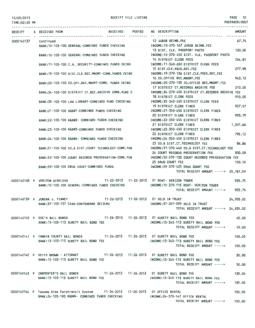12/09/2013 TIME:02:20 PM PAGE 10

PREPARER:0007

|            | RECEIPT S RECEIVED FROM |                                                                                    |  | RECEIVED POSTED NO DESCRIPTION                                                            | AMOUNT    |
|------------|-------------------------|------------------------------------------------------------------------------------|--|-------------------------------------------------------------------------------------------|-----------|
| 0000140137 | Continued               |                                                                                    |  | 12 JUROR REIMB.FEE                                                                        | 67.74     |
|            |                         | BANK: 10-103-100 GENERAL-COMBINED FUNDS CHECKING                                   |  | INCOME:10-370-167 JUROR REIMB.FEE                                                         |           |
|            |                         |                                                                                    |  | 13 DIST. CLK. PASSPORT PHOTO                                                              | 130,00    |
|            |                         |                                                                                    |  | BANK:10-103-100 GENERAL-COMBINED FUNDS CHECKING MODE:10-370-450 DIST. CLK. PASSPORT PHOTO |           |
|            |                         |                                                                                    |  | 14 DISTRICT CLERK FEES                                                                    | 264.81    |
|            |                         |                                                                                    |  | BANK:11-103-100 C.H. SECURITY-COMBINED FUNDS CKING INCOME:11-340-650 DISTRICT CLERK FEES  |           |
|            |                         |                                                                                    |  | 15 DIST.CLK.PRES.REC.FEE                                                                  | 277.98    |
|            |                         | BANK: 19-103-100 DIST.CLK.REC.MNGMT-COMB.FUNDS CKING                               |  | INCOME:19-370-136 DIST.CLK.PRES.REC.FEE                                                   |           |
|            |                         |                                                                                    |  | 16 CO.OFFICE REC.MNGMT.FEE                                                                | 943.12    |
|            |                         | BANK:20-103-100 CO.OFF.REC.MNGMT-COMB. FUNDS CKING                                 |  | INCOME:20-370-135 CO.OFFICE REC.MNGMT.FEE                                                 |           |
|            |                         |                                                                                    |  | 17 DISTRICT CT.RECORDS ARCHIVE FEE                                                        | 210,00    |
|            |                         | BANK:34-103-100 DISTRICT CT.REC.ARCHIVE COMB.FUND C                                |  | INCOME:34-370-450 DISTRICT CT.RECORDS ARCHIVE FEE                                         | 910.00    |
|            |                         |                                                                                    |  | 18 DISTRICT CLERK FEES<br>INCOME: 35-340-450 DISTRICT CLERK FEES                          |           |
|            |                         | BANK:35-103-100 LAW LIBRARY-COMBINED FUND CHECKING                                 |  | 19 DISTRICT CLERK FINES                                                                   | 927.57    |
|            |                         | BANK:21-103-100 R&B#1-COMBINED FUNDS CHECKING                                      |  | INCOME:21-350-450 DISTRICT CLERK FINES                                                    |           |
|            |                         |                                                                                    |  | 20 DISTRICT CLERK FINES                                                                   | 993.79    |
|            |                         | BANK:22-103-100 R&B#2- COMBINED FUNDS CHECKING                                     |  | INCOME:22-350-450 DISTRICT CLERK FINES                                                    |           |
|            |                         |                                                                                    |  | 21 DISTRICT CLERK FINES                                                                   | 1,501.66  |
|            |                         | BANK:23-103-100 R&B#3-COMBINED FUNDS CHECKING                                      |  | INCOME:23-350-450 DISTRICT CLERK FINES                                                    |           |
|            |                         |                                                                                    |  | 22 DISTRICT CLERK FINES                                                                   | 795.12    |
|            |                         | BANK: 24-103-100 R&B#4- COMBINED FUNDS CHECKING                                    |  | INCOME:24-350-450 DISTRICT CLERK FINES                                                    |           |
|            |                         |                                                                                    |  | 23 CO.& DIST.CT.TECHNOLOGY FEE                                                            | 86.86     |
|            |                         | BANK:51-103-100 CO.& DIST.COURT TECHNOLOGY-COMB.FUN                                |  | INCOME:51-370-440 CO.& DIST.CT.TECHNOLOGY FEE                                             |           |
|            |                         |                                                                                    |  | 24 COURT RECORDS PRESERVATION FEE                                                         | 300,00    |
|            |                         | BANK:52-103-100 COURT RECORDS PRESERVATION-COMB.FUN                                |  | INCOME:52-370-133 COURT RECORDS PRESERVATION FEE                                          |           |
|            |                         |                                                                                    |  | 25 DRUG COURT FEE                                                                         | 150.10    |
|            |                         | BANK:59-103-100 DRUG COURT-COMBINED FUNDS                                          |  | INCOME:59-370-425 DRUG COURT FEE<br>TOTAL RECEIPT AMOUNT -----> 25,181.59                 |           |
|            |                         |                                                                                    |  |                                                                                           |           |
|            |                         |                                                                                    |  | 0000140138 P VERIZON WIRELESS 11-22-2013 11-22-2013 01 RENT- VERIZON TOWER                | 925.75    |
|            |                         | BANK:10-103-100 GENERAL-COMBINED FUNDS CHECKING                                    |  | INCOME:10-370-115 RENT- VERIZON TOWER                                                     |           |
|            |                         |                                                                                    |  | TOTAL RECEIPT AMOUNT -----> 925.75                                                        |           |
|            |                         |                                                                                    |  |                                                                                           |           |
|            |                         |                                                                                    |  | 0000140139 P JORDAN J. FINNEY 11-26-2013 11-26-2013 01 HELD IN TRUST                      | 24,935.02 |
|            |                         | BANK: 37-103-137 CASH-CONTRABAND SEIZURE                                           |  | INCOME: 37-207-099 HELD IN TRUST                                                          |           |
|            |                         |                                                                                    |  | TOTAL RECEIPT AMOUNT -----> 24,935.02                                                     |           |
|            |                         |                                                                                    |  |                                                                                           |           |
|            |                         |                                                                                    |  | 0000140140 P DOC'S BAIL BONDS 11-26-2013 11-26-2013 01 SURETY BAIL BOND FEE               | 45.00     |
|            |                         | BANK: 13-103-113 SURETY BAIL BOND FEE                                              |  | INCOME:13-345-113 SURETY BAIL BOND FEE<br>TOTAL RECEIPT AMOUNT -----> 45.00               |           |
|            |                         |                                                                                    |  |                                                                                           |           |
|            |                         |                                                                                    |  | 0000140141 P FANNIN COUNTY BAIL BONDS 11-26-2013 11-26-2013 01 SURETY BAIL BOND FEE       | 105,00    |
|            |                         | BANK: 13-103-113 SURETY BAIL BOND FEE                                              |  | INCOME:13-345-113 SURETY BAIL BOND FEE                                                    |           |
|            |                         |                                                                                    |  | TOTAL RECEIPT AMOUNT ----->                                                               | 105.00    |
|            |                         |                                                                                    |  |                                                                                           |           |
|            |                         |                                                                                    |  | 0000140142 P KEITH BROWN - ATTORNEY 11-26-2013 11-26-2013 01 SURETY BAIL BOND FEE         | 30.00     |
|            |                         | BANK:13-103-113 SURETY BAIL BOND FEE                                               |  | INCOME: 13-345-113 SURETY BAIL BOND FEE                                                   |           |
|            |                         |                                                                                    |  | TOTAL RECEIPT AMOUNT ----->                                                               | 30.00     |
|            |                         |                                                                                    |  |                                                                                           |           |
|            |                         |                                                                                    |  | 0000140143 P CARPENTER'S BAIL BONDS 11-26-2013 11-26-2013 01 SURETY BAIL BOND FEE         | 135.00    |
|            |                         | BANK: 13-103-113 SURETY BAIL BOND FEE                                              |  | INCOME: 13-345-113 SURETY BAIL BOND FEE                                                   |           |
|            |                         |                                                                                    |  | TOTAL RECEIPT AMOUNT -----> 135.00                                                        |           |
|            |                         | 0000140144 P Texoma Area Paratransit System 11-26-2013 11-26-2013 01 OFFICE RENTAL |  |                                                                                           | 150,00    |
|            |                         | BANK: 24-103-100 R&B#4- COMBINED FUNDS CHECKING                                    |  | INCOME: 24-370-147 OFFICE RENTAL                                                          |           |
|            |                         |                                                                                    |  | TOTAL RECEIPT AMOUNT -----> 150.00                                                        |           |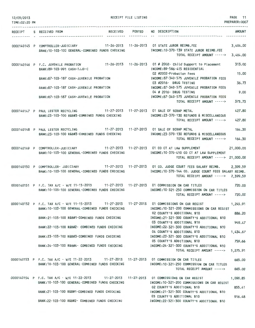| 12/09/2013<br>TIME:02:20 PM |                                                                                                                                                                                                     | RECEIPT FILE LISTING |                                                                                      | PAGE 11<br>PREPARER: 0007 |
|-----------------------------|-----------------------------------------------------------------------------------------------------------------------------------------------------------------------------------------------------|----------------------|--------------------------------------------------------------------------------------|---------------------------|
|                             | RECEIPT S RECEIVED FROM                                                                                                                                                                             |                      | RECEIVED POSTED NO DESCRIPTION                                                       | AMOUNT                    |
|                             |                                                                                                                                                                                                     | ----------- --       |                                                                                      |                           |
|                             | 0000140145 P COMPTROLLER-JUDICIARY 11-26-2013 11-26-2013 01 STATE JUROR REIMB.FEE<br>BANK:10-103-100 GENERAL-COMBINED FUNDS CHECKING [NCOME:10-370-139 STATE JUROR REIMB.FEE                        |                      |                                                                                      | 3,404.00                  |
|                             |                                                                                                                                                                                                     |                      | TOTAL RECEIPT AMOUNT ----->                                                          | 3,404.00                  |
|                             | 0000140146 P F.C. JUVENILE PROBATION 11-26-2013 11-26-2013 01 # 2002- Child Support to Placement<br>BANK: 89-103-991 CASH-TJJD-C                                                                    |                      | INCOME:89-586-415 RESIDENTIAL<br>02 #2002-Probation Fees                             | 313.00<br>15.00           |
|                             |                                                                                                                                                                                                     |                      | INCOME:87-340-575 JUVENILE PROBATION FEES                                            |                           |
|                             | BANK:87-103-187 CASH-JUVENILE PROBATION<br>BANK:87-103-187 CASH-JUVENILE PROBATION<br>BANK:87-103-187 CASH-JUVENILE PROBATION                                                                       |                      | 03 #2016- DRUG TESTING<br>INCOME:87-340-575 JUVENILE PROBATION FEES                  | 36.73                     |
|                             |                                                                                                                                                                                                     |                      | 04 # 2016- DRUG TESTING<br>INCOME:87-340-575 JUVENILE PROBATION FEES                 | 9.00                      |
|                             |                                                                                                                                                                                                     |                      | TOTAL RECEIPT AMOUNT ----->                                                          | 373.73                    |
|                             | 0000140147 P PAUL LESTER RECYCLING 11-27-2013 11-27-2013 01 SALE OF SCRAP METAL<br>BANK:23-103-100 R&B#3-COMBINED FUNDS CHECKING                                                                    |                      | INCOME: 23-370-130 REFUNDS & MISCELLANEOUS                                           | 427.80                    |
|                             |                                                                                                                                                                                                     |                      | TOTAL RECEIPT AMOUNT ----->                                                          | 427.80                    |
|                             | 0000140148 P PAUL LESTER RECYCLING 11-27-2013 11-27-2013 01 SALE OF SCRAP METAL                                                                                                                     |                      |                                                                                      | 164.30                    |
|                             | BANK:23-103-100 R&B#3-COMBINED FUNDS CHECKING                                                                                                                                                       |                      | INCOME: 23-370-130 REFUNDS & MISCELLANEOUS<br>TOTAL RECEIPT AMOUNT ----->            | 164.30                    |
|                             | 0000140149 P COMPTROLLER-JUDICIARY 11-27-2013 11-27-2013 01 CO CT AT LAW SUPPLEMENT<br>BANK: 10-103-100 GENERAL-COMBINED FUNDS CHECKING                                                             |                      | INCOME: 10-370-410 CO CT AT LAW SUPPLEMENT                                           | 21,000.00                 |
|                             |                                                                                                                                                                                                     |                      | TOTAL RECEIPT AMOUNT -----> 21,000.00                                                |                           |
|                             | 0000140150 P COMPTROLLER- JUDICIARY 11-27-2013 11-27-2013 01 CO. JUDGE COURT FEES SALARY REIMB.<br>BANK: 10-103-100 GENERAL-COMBINED FUNDS CHECKING                                                 |                      | INCOME: 10-370-144 CO. JUDGE COURT FEES SALARY REIMB.<br>TOTAL RECEIPT AMOUNT -----> | 2,399.59<br>2,399.59      |
|                             | 0000140151 P F.C. TAX A/C - W/E 11-15-2013 11-27-2013 11-27-2013 01 COMMISSION ON CAR TITLES<br>BANK:10-103-100 GENERAL-COMBINED FUNDS CHECKING METHODIC INCOME:10-321-250 COMMISSION ON CAR TITLES |                      | TOTAL RECEIPT AMOUNT -----> 720.00                                                   | 720.00                    |
|                             | 0000140152 P F.C. TAX A/C - W/E 11-15-2013 11-27-2013 11-27-2013 01 COMMISSIONS ON CAR REGIST 1,245.91                                                                                              |                      |                                                                                      |                           |
|                             | BANK: 10-103-100 GENERAL-COMBINED FUNDS CHECKING                                                                                                                                                    |                      | INCOME:10-321-200 COMMISSIONS ON CAR REGIST<br>02 COUNTY'S ADDITIONAL \$10           | 886.20                    |
|                             | BANK:21-103-100 R&B#1-COMBINED FUNDS CHECKING MANUSIC RESOLUTION INCOME:21-321-300 COUNTY'S ADDITIONAL \$10                                                                                         |                      | 03 COUNTY'S ADDITIONAL \$10                                                          | 949.47                    |
|                             | BANK:22-103-100 R&B#2- COMBINED FUNDS CHECKING                                                                                                                                                      |                      | INCOME: 22-321-300 COUNTY'S ADDITIONAL \$10<br>04 COUNTY'S ADDITIONAL \$10           | 1,434.67                  |
|                             | BANK:23-103-100 R&B#3-COMBINED FUNDS CHECKING                                                                                                                                                       |                      | INCOME:23-321-300 COUNTY'S ADDITIONAL \$10<br>05 COUNTY'S ADDITIONAL \$10            | 759.66                    |
|                             | BANK: 24-103-100 R&B#4- COMBINED FUNDS CHECKING                                                                                                                                                     |                      | INCOME: 24-321-300 COUNTY'S ADDITIONAL \$10<br>TOTAL RECEIPT AMOUNT ----->           | 5,275.91                  |
|                             |                                                                                                                                                                                                     |                      |                                                                                      |                           |
|                             | 0000140153 P F.C. TAX A/C - W/E 11-22-2013 11-27-2013 11-27-2013 01 COMMISSION ON CAR TITLES<br>BANK: 10-103-100 GENERAL-COMBINED FUNDS CHECKING                                                    |                      | INCOME:10-321-250 COMMISSION ON CAR TITLES<br>TOTAL RECEIPT AMOUNT ----->            | 665.00<br>665.00          |
|                             | 0000140154 P F.C. TAX A/C - W/E 11-22-2013 11-27-2013 11-27-2013 01 COMMISSIONS ON CAR REGIST                                                                                                       |                      |                                                                                      | 1,090.85                  |
|                             | BANK:10-103-100 GENERAL-COMBINED FUNDS CHECKING                                                                                                                                                     |                      | INCOME:10-321-200 COMMISSIONS ON CAR REGIST<br>02 COUNTY'S ADDITIONAL \$10           | 855.41                    |
|                             | BANK:21-103-100 R&B#1-COMBINED FUNDS CHECKING                                                                                                                                                       |                      | INCOME: 21-321-300 COUNTY'S ADDITIONAL \$10<br>03 COUNTY'S ADDITIONAL \$10           | 916.48                    |
|                             | BANK:22-103-100 R&B#2- COMBINED FUNDS CHECKING                                                                                                                                                      |                      | INCOME: 22-321-300 COUNTY'S ADDITIONAL \$10                                          |                           |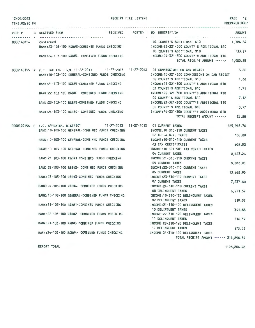| 12/09/2013<br>TIME: 02:20 PM |                                                                                                                                                   | RECEIPT FILE LISTING                                                                                                                                          | PAGE 12<br>PREPARER: 0007 |
|------------------------------|---------------------------------------------------------------------------------------------------------------------------------------------------|---------------------------------------------------------------------------------------------------------------------------------------------------------------|---------------------------|
|                              | RECEIPT S RECEIVED FROM                                                                                                                           | RECEIVED POSTED NO DESCRIPTION                                                                                                                                | <b>AMOUNT</b>             |
| 0000140154 Continued         |                                                                                                                                                   | 04 COUNTY'S ADDITIONAL \$10 1,384.84<br>BANK:23-103-100 R&B#3-COMBINED FUNDS CHECKING MODE:23-321-300 COUNTY'S ADDITIONAL \$10<br>05 COUNTY'S ADDITIONAL \$10 | 733.27                    |
|                              |                                                                                                                                                   | BANK:24-103-100 R&B#4- COMBINED FUNDS CHECKING THE THOME:24-321-300 COUNTY'S ADDITIONAL \$10<br>TOTAL RECEIPT AMOUNT -----> 4,980.85                          |                           |
|                              | 0000140155 P F.C. TAX A/C - W/E 11-22-2013 11-27-2013 11-27-2013 01 COMMISSIONS ON CAR REGIST<br>BANK: 10-103-100 GENERAL-COMBINED FUNDS CHECKING | INCOME: 10-321-200 COMMISSIONS ON CAR REGIST                                                                                                                  | 3.80                      |
|                              | BANK:21-103-100 R&B#1-COMBINED FUNDS CHECKING                                                                                                     | 02 COUNTY'S ADDITIONAL \$10<br>INCOME: 21-321-300 COUNTY'S ADDITIONAL \$10                                                                                    | 4.40                      |
|                              | BANK:22-103-100 R&B#2- COMBINED FUNDS CHECKING                                                                                                    | 03 COUNTY'S ADDITIONAL \$10<br>INCOME: 22-321-300 COUNTY'S ADDITIONAL \$10                                                                                    | 4.71                      |
|                              | BANK:23-103-100 R&B#3-COMBINED FUNDS CHECKING                                                                                                     | 04 COUNTY'S ADDITIONAL \$10<br>INCOME: 23-321-300 COUNTY'S ADDITIONAL \$10                                                                                    | 7.12                      |
|                              | BANK:24-103-100 R&B#4- COMBINED FUNDS CHECKING                                                                                                    | 05 COUNTY'S ADDITIONAL \$10<br>INCOME: 24-321-300 COUNTY'S ADDITIONAL \$10                                                                                    | 3.77                      |
|                              |                                                                                                                                                   | TOTAL RECEIPT AMOUNT ----->                                                                                                                                   | 23.80                     |
|                              | 0000140156 P F.C. APPRAISAL DISTRICT 11-27-2013 11-27-2013 01 CURRENT TAXES<br>BANK: 10-103-100 GENERAL-COMBINED FUNDS CHECKING                   | INCOME: 10-310-110 CURRENT TAXES                                                                                                                              | 165, 945.76               |
|                              | BANK: 10-103-100 GENERAL-COMBINED FUNDS CHECKING                                                                                                  | 02 G.F.A.B.P. TAXES<br>INCOME: 10-310-110 CURRENT TAXES                                                                                                       | 135.80                    |
|                              | BANK: 10-103-100 GENERAL-COMBINED FUNDS CHECKING                                                                                                  | 03 TAX CERTIFICATES<br>INCOME: 10-321-901 TAX CERTIFICATES                                                                                                    | 696.52                    |
|                              | BANK:21-103-100 R&B#1-COMBINED FUNDS CHECKING                                                                                                     | 04 CURRENT TAXES<br>INCOME: 21-310-110 CURRENT TAXES                                                                                                          | 8,443.23                  |
|                              | BANK: 22-103-100 R&B#2- COMBINED FUNDS CHECKING                                                                                                   | 05 CURRENT TAXES<br>INCOME: 22-310-110 CURRENT TAXES                                                                                                          | 9,046.05                  |
|                              | BANK:23-103-100 R&B#3-COMBINED FUNDS CHECKING                                                                                                     | 06 CURRENT TAXES<br>INCOME: 23-310-110 CURRENT TAXES                                                                                                          | 13,668.90                 |
|                              | BANK: 24-103-100 R&B#4- COMBINED FUNDS CHECKING                                                                                                   | <b>07 CURRENT TAXES</b><br>INCOME: 24-310-110 CURRENT TAXES                                                                                                   | 7,237.60                  |
|                              | BANK: 10-103-100 GENERAL-COMBINED FUNDS CHECKING                                                                                                  | <b>08 DELINQUENT TAXES</b><br>INCOME: 10-310-120 DELINQUENT TAXES                                                                                             | 6,271.59                  |
|                              | BANK: 21-103-100 R&B#1-COMBINED FUNDS CHECKING                                                                                                    | 09 DELINQUENT TAXES<br>INCOME:21-310-120 DELINQUENT TAXES                                                                                                     | 319.09                    |
|                              | BANK:22-103-100 R&B#2- COMBINED FUNDS CHECKING                                                                                                    | 10 DELINQUENT TAXES<br>INCOME: 22-310-120 DELINQUENT TAXES                                                                                                    | 341.88                    |
|                              | BANK:23-103-100 R&B#3-COMBINED FUNDS CHECKING                                                                                                     | 11 DELINQUENT TAXES<br>INCOME: 23-310-120 DELINQUENT TAXES                                                                                                    | 516.59                    |
|                              | BANK:24-103-100 R&B#4- COMBINED FUNDS CHECKING                                                                                                    | <b>12 DELINQUENT TAXES</b><br>INCOME: 24-310-120 DELINQUENT TAXES                                                                                             | 273.53                    |
|                              |                                                                                                                                                   | TOTAL RECEIPT AMOUNT -----> 212,896.54                                                                                                                        |                           |

REPORT TOTAL

1126,804.28